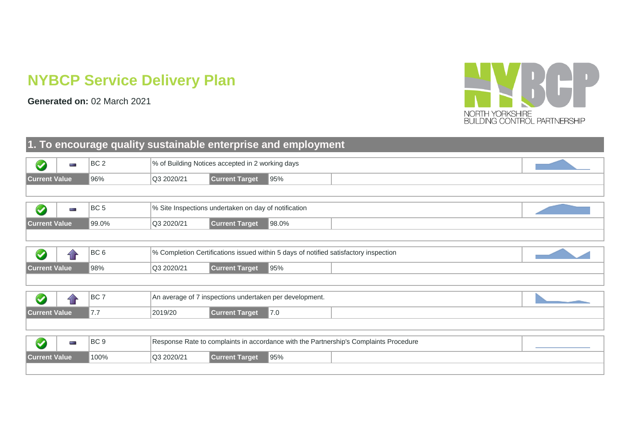# **NYBCP Service Delivery Plan**

**Generated on:** 02 March 2021



|                      |                                                                              |                 |            |                                                      | 1. To encourage quality sustainable enterprise and employment                        |                                                                                       |  |  |  |  |
|----------------------|------------------------------------------------------------------------------|-----------------|------------|------------------------------------------------------|--------------------------------------------------------------------------------------|---------------------------------------------------------------------------------------|--|--|--|--|
| V                    | BC <sub>2</sub><br>% of Building Notices accepted in 2 working days<br>for a |                 |            |                                                      |                                                                                      |                                                                                       |  |  |  |  |
|                      | <b>Current Target</b><br><b>Current Value</b><br>Q3 2020/21<br>95%<br>96%    |                 |            |                                                      |                                                                                      |                                                                                       |  |  |  |  |
|                      |                                                                              |                 |            |                                                      |                                                                                      |                                                                                       |  |  |  |  |
| $\blacktriangledown$ | e.                                                                           | BC <sub>5</sub> |            | % Site Inspections undertaken on day of notification |                                                                                      |                                                                                       |  |  |  |  |
| <b>Current Value</b> |                                                                              | 99.0%           | Q3 2020/21 | <b>Current Target</b>                                | 98.0%                                                                                |                                                                                       |  |  |  |  |
|                      |                                                                              |                 |            |                                                      |                                                                                      |                                                                                       |  |  |  |  |
|                      |                                                                              | BC <sub>6</sub> |            |                                                      | % Completion Certifications issued within 5 days of notified satisfactory inspection |                                                                                       |  |  |  |  |
| <b>Current Value</b> |                                                                              | 98%             | Q3 2020/21 | <b>Current Target</b>                                | 95%                                                                                  |                                                                                       |  |  |  |  |
|                      |                                                                              |                 |            |                                                      |                                                                                      |                                                                                       |  |  |  |  |
|                      |                                                                              | BC <sub>7</sub> |            |                                                      | An average of 7 inspections undertaken per development.                              |                                                                                       |  |  |  |  |
| <b>Current Value</b> |                                                                              | 7.7             | 2019/20    | <b>Current Target</b>                                | 7.0                                                                                  |                                                                                       |  |  |  |  |
|                      |                                                                              |                 |            |                                                      |                                                                                      |                                                                                       |  |  |  |  |
| $\boldsymbol{C}$     | o a                                                                          | BC <sub>9</sub> |            |                                                      |                                                                                      | Response Rate to complaints in accordance with the Partnership's Complaints Procedure |  |  |  |  |
| <b>Current Value</b> |                                                                              | 100%            | Q3 2020/21 | <b>Current Target</b>                                | 95%                                                                                  |                                                                                       |  |  |  |  |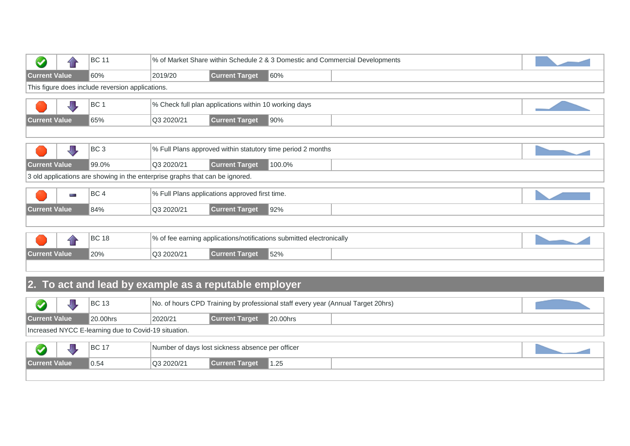|                      |              | <b>BC 11</b>                                                                 |            |                                                       | % of Market Share within Schedule 2 & 3 Domestic and Commercial Developments |  |  |
|----------------------|--------------|------------------------------------------------------------------------------|------------|-------------------------------------------------------|------------------------------------------------------------------------------|--|--|
| <b>Current Value</b> |              | 60%                                                                          | 2019/20    | <b>Current Target</b>                                 | 60%                                                                          |  |  |
|                      |              | This figure does include reversion applications.                             |            |                                                       |                                                                              |  |  |
|                      |              | BC <sub>1</sub>                                                              |            | % Check full plan applications within 10 working days |                                                                              |  |  |
| <b>Current Value</b> |              | 65%                                                                          | Q3 2020/21 | <b>Current Target</b>                                 | 90%                                                                          |  |  |
|                      |              |                                                                              |            |                                                       |                                                                              |  |  |
|                      |              | BC <sub>3</sub>                                                              |            |                                                       | % Full Plans approved within statutory time period 2 months                  |  |  |
| <b>Current Value</b> |              | 99.0%                                                                        | Q3 2020/21 | <b>Current Target</b>                                 | 100.0%                                                                       |  |  |
|                      |              | 3 old applications are showing in the enterprise graphs that can be ignored. |            |                                                       |                                                                              |  |  |
|                      | <b>STATE</b> | BC <sub>4</sub>                                                              |            | % Full Plans applications approved first time.        |                                                                              |  |  |
| <b>Current Value</b> |              | 84%                                                                          | Q3 2020/21 | <b>Current Target</b>                                 | 92%                                                                          |  |  |
|                      |              |                                                                              |            |                                                       |                                                                              |  |  |
|                      |              | <b>BC 18</b>                                                                 |            |                                                       | % of fee earning applications/notifications submitted electronically         |  |  |
| <b>Current Value</b> |              | 20%                                                                          | Q3 2020/21 | <b>Current Target</b>                                 | 52%                                                                          |  |  |

# **2. To act and lead by example as a reputable employer**

|               |                                                                             |  | <b>BC 13</b> |         |                                   | No. of hours CPD Training by professional staff every year (Annual Target 20hrs) |  |  |  |  |  |  |
|---------------|-----------------------------------------------------------------------------|--|--------------|---------|-----------------------------------|----------------------------------------------------------------------------------|--|--|--|--|--|--|
| Current Value |                                                                             |  | 20.00hrs     | 2020/21 | <b>Current Target</b><br>20.00hrs |                                                                                  |  |  |  |  |  |  |
|               | Increased NYCC E-learning due to Covid-19 situation.                        |  |              |         |                                   |                                                                                  |  |  |  |  |  |  |
|               | <b>BC 17</b><br>Number of days lost sickness absence per officer            |  |              |         |                                   |                                                                                  |  |  |  |  |  |  |
|               | <b>Current Value</b><br><b>Current Target</b><br>0.54<br>Q3 2020/21<br>1.25 |  |              |         |                                   |                                                                                  |  |  |  |  |  |  |
|               |                                                                             |  |              |         |                                   |                                                                                  |  |  |  |  |  |  |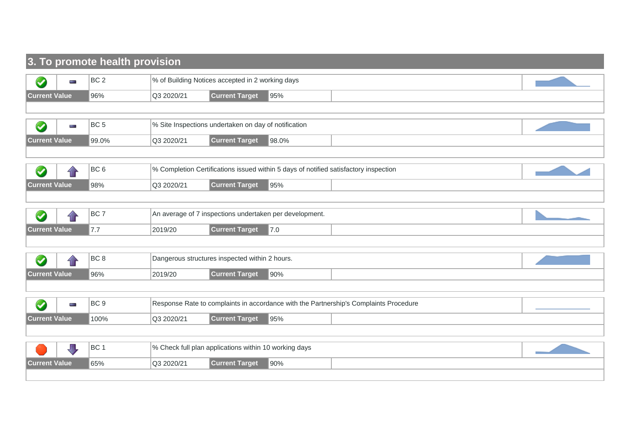### **3. To promote health provision**

|                      | P.      | BC <sub>2</sub> |            | % of Building Notices accepted in 2 working days        |       |                                                                                       |  |
|----------------------|---------|-----------------|------------|---------------------------------------------------------|-------|---------------------------------------------------------------------------------------|--|
| <b>Current Value</b> |         | 96%             | Q3 2020/21 | <b>Current Target</b>                                   | 95%   |                                                                                       |  |
|                      |         |                 |            |                                                         |       |                                                                                       |  |
| $\blacktriangledown$ | and the | BC <sub>5</sub> |            | % Site Inspections undertaken on day of notification    |       |                                                                                       |  |
| <b>Current Value</b> |         | 99.0%           | Q3 2020/21 | <b>Current Target</b>                                   | 98.0% |                                                                                       |  |
|                      |         |                 |            |                                                         |       |                                                                                       |  |
|                      |         | BC <sub>6</sub> |            |                                                         |       | % Completion Certifications issued within 5 days of notified satisfactory inspection  |  |
| <b>Current Value</b> |         | 98%             | Q3 2020/21 | <b>Current Target</b>                                   | 95%   |                                                                                       |  |
|                      |         |                 |            |                                                         |       |                                                                                       |  |
|                      |         | BC <sub>7</sub> |            | An average of 7 inspections undertaken per development. |       |                                                                                       |  |
| <b>Current Value</b> |         | 7.7             | 2019/20    | <b>Current Target</b>                                   | 7.0   |                                                                                       |  |
|                      |         |                 |            |                                                         |       |                                                                                       |  |
| $\blacktriangledown$ |         | BC <sub>8</sub> |            | Dangerous structures inspected within 2 hours.          |       |                                                                                       |  |
| <b>Current Value</b> |         | 96%             | 2019/20    | <b>Current Target</b>                                   | 90%   |                                                                                       |  |
|                      |         |                 |            |                                                         |       |                                                                                       |  |
| ✔                    | ł       | BC <sub>9</sub> |            |                                                         |       | Response Rate to complaints in accordance with the Partnership's Complaints Procedure |  |
| <b>Current Value</b> |         | 100%            | Q3 2020/21 | <b>Current Target</b>                                   | 95%   |                                                                                       |  |
|                      |         |                 |            |                                                         |       |                                                                                       |  |
|                      |         | BC <sub>1</sub> |            | % Check full plan applications within 10 working days   |       |                                                                                       |  |
| <b>Current Value</b> |         | 65%             | Q3 2020/21 | <b>Current Target</b>                                   | 90%   |                                                                                       |  |
|                      |         |                 |            |                                                         |       |                                                                                       |  |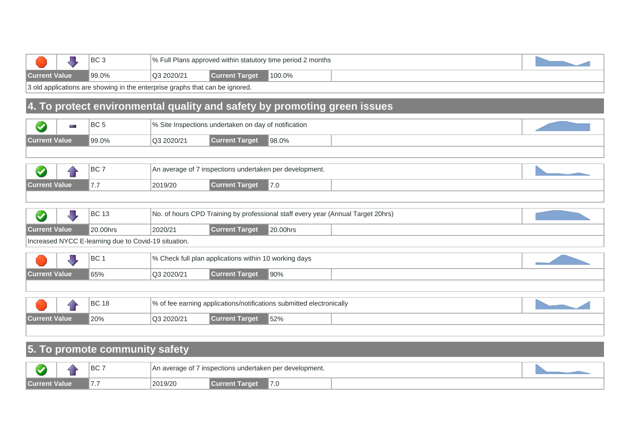|                      | R∩<br>◡ |            |                       | √% Full Plans approved within statutory time period 2 months |  |
|----------------------|---------|------------|-----------------------|--------------------------------------------------------------|--|
| <b>Current Value</b> | ∣99.0%  | Q3 2020/21 | <b>Current Target</b> | 100.0%                                                       |  |

3 old applications are showing in the enterprise graphs that can be ignored.

### **4. To protect environmental quality and safety by promoting green issues**

| $\blacktriangledown$ | ł  | BC <sub>5</sub>                                      |            | % Site Inspections undertaken on day of notification  |                                                                                  |  |  |
|----------------------|----|------------------------------------------------------|------------|-------------------------------------------------------|----------------------------------------------------------------------------------|--|--|
| <b>Current Value</b> |    | 99.0%                                                | Q3 2020/21 | <b>Current Target</b>                                 | 98.0%                                                                            |  |  |
|                      |    |                                                      |            |                                                       |                                                                                  |  |  |
|                      |    |                                                      |            |                                                       |                                                                                  |  |  |
| $\blacktriangledown$ |    | BC <sub>7</sub>                                      |            |                                                       | An average of 7 inspections undertaken per development.                          |  |  |
| <b>Current Value</b> |    | 7.7                                                  | 2019/20    | <b>Current Target</b>                                 | $\vert$ 7.0                                                                      |  |  |
|                      |    |                                                      |            |                                                       |                                                                                  |  |  |
|                      |    |                                                      |            |                                                       |                                                                                  |  |  |
| $\blacktriangledown$ | Л, | <b>BC 13</b>                                         |            |                                                       | No. of hours CPD Training by professional staff every year (Annual Target 20hrs) |  |  |
| <b>Current Value</b> |    | 20.00hrs                                             | 2020/21    | <b>Current Target</b>                                 | 20.00hrs                                                                         |  |  |
|                      |    | Increased NYCC E-learning due to Covid-19 situation. |            |                                                       |                                                                                  |  |  |
|                      |    |                                                      |            |                                                       |                                                                                  |  |  |
|                      | JЦ | BC <sub>1</sub>                                      |            | % Check full plan applications within 10 working days |                                                                                  |  |  |
| <b>Current Value</b> |    | 65%                                                  | Q3 2020/21 | <b>Current Target</b>                                 | 90%                                                                              |  |  |
|                      |    |                                                      |            |                                                       |                                                                                  |  |  |
|                      |    |                                                      |            |                                                       |                                                                                  |  |  |
|                      |    | <b>BC 18</b>                                         |            |                                                       | % of fee earning applications/notifications submitted electronically             |  |  |
| <b>Current Value</b> |    | 20%                                                  | Q3 2020/21 | <b>Current Target</b>                                 | 52%                                                                              |  |  |
|                      |    |                                                      |            |                                                       |                                                                                  |  |  |

### **5. To promote community safety**

|     | ◡ | An     | velopment.<br>r inspections undertaken per |         |  |  |  |  |
|-----|---|--------|--------------------------------------------|---------|--|--|--|--|
| zuu | . | )19/20 |                                            | $\cdot$ |  |  |  |  |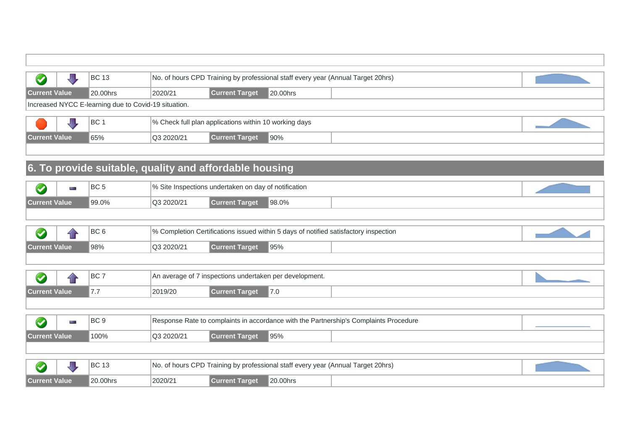|                      |                                                      | <b>BC 13</b> |         |                | No. of hours CPD Training by professional staff every year (Annual Target 20hrs) |  |  |  |  |  |
|----------------------|------------------------------------------------------|--------------|---------|----------------|----------------------------------------------------------------------------------|--|--|--|--|--|
| <b>Current Value</b> |                                                      | 20.00hrs     | 2020/21 | Current Target | 20.00hrs                                                                         |  |  |  |  |  |
|                      | Increased NYCC E-learning due to Covid-19 situation. |              |         |                |                                                                                  |  |  |  |  |  |

|               | $\sim$<br>ື |         | % Check full plan applications within 10 working days |     |  |
|---------------|-------------|---------|-------------------------------------------------------|-----|--|
| Current value | <b>165%</b> | 0.00010 | <u>sourrents</u><br>.<br>ግልማል                         | 90% |  |
|               |             |         |                                                       |     |  |

## **6. To provide suitable, quality and affordable housing**

|                 | IDCF<br>DU. | $\overline{O}$ | % Site Inspections undertaken on day of notification |          |  |
|-----------------|-------------|----------------|------------------------------------------------------|----------|--|
| <b>nt Value</b> | ¶99.0%      | Q3 2020/21     | FI CA<br>.                                           | $98.0\%$ |  |
|                 |             |                |                                                      |          |  |

|        |  |               | 0/ | Certifications issued within 5 days. | s of notified satisfactorv i | nspection |  |
|--------|--|---------------|----|--------------------------------------|------------------------------|-----------|--|
| 7allud |  | $\sqrt{98\%}$ |    |                                      | 95%                          |           |  |

|                  |       | BC                                                     |         |                      | ' inspections undertaken per development. |  |
|------------------|-------|--------------------------------------------------------|---------|----------------------|-------------------------------------------|--|
| <b>Tourfelly</b> | value | $\overline{\phantom{a}}$ $\overline{\phantom{a}}$<br>. | 2019/20 | <b>TELL</b><br>णाज्य | 7.0                                       |  |

|                      |                                                                                                  |  | BC <sub>9</sub> | Response Rate to complaints in accordance with the Partnership's Complaints Procedure |                       |          |  |  |  |
|----------------------|--------------------------------------------------------------------------------------------------|--|-----------------|---------------------------------------------------------------------------------------|-----------------------|----------|--|--|--|
| <b>Current Value</b> |                                                                                                  |  | 100%            | Q3 2020/21                                                                            | <b>Current Target</b> | ∥95%     |  |  |  |
|                      |                                                                                                  |  |                 |                                                                                       |                       |          |  |  |  |
|                      | No. of hours CPD Training by professional staff every year (Annual Target 20hrs)<br><b>BC 13</b> |  |                 |                                                                                       |                       |          |  |  |  |
|                      |                                                                                                  |  |                 |                                                                                       |                       |          |  |  |  |
| <b>Current Value</b> |                                                                                                  |  | 20.00hrs        | 2020/21                                                                               | <b>Current Target</b> | 20.00hrs |  |  |  |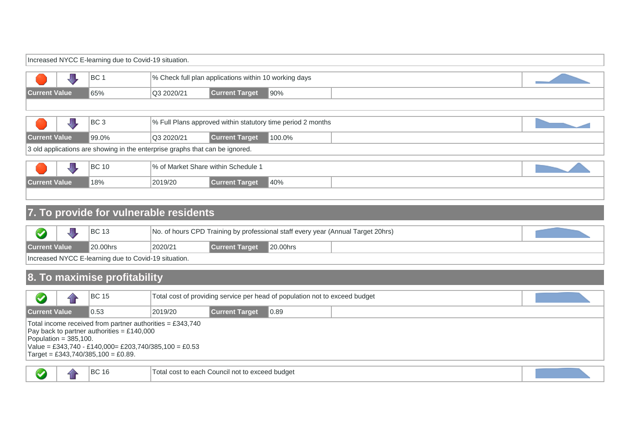| Increased NYCC E-learning due to Covid-19 situation.                         |   |                                                     |                                                       |                                                             |        |  |  |  |  |  |  |
|------------------------------------------------------------------------------|---|-----------------------------------------------------|-------------------------------------------------------|-------------------------------------------------------------|--------|--|--|--|--|--|--|
|                                                                              |   | BC 1                                                | % Check full plan applications within 10 working days |                                                             |        |  |  |  |  |  |  |
| <b>Current Value</b>                                                         |   | 65%                                                 | Q3 2020/21                                            | <b>Current Target</b>                                       | 90%    |  |  |  |  |  |  |
|                                                                              |   |                                                     |                                                       |                                                             |        |  |  |  |  |  |  |
|                                                                              | ᆜ | BC <sub>3</sub>                                     |                                                       | % Full Plans approved within statutory time period 2 months |        |  |  |  |  |  |  |
| <b>Current Value</b>                                                         |   | 99.0%                                               | Q3 2020/21                                            | <b>Current Target</b>                                       | 100.0% |  |  |  |  |  |  |
| 3 old applications are showing in the enterprise graphs that can be ignored. |   |                                                     |                                                       |                                                             |        |  |  |  |  |  |  |
|                                                                              |   | % of Market Share within Schedule 1<br><b>BC 10</b> |                                                       |                                                             |        |  |  |  |  |  |  |

## **7. To provide for vulnerable residents**

**Current Value** 18% 2019/20 **Current Target** 40%

|                                                      |  |           | No. of hours CPD Training by professional staff every year (Annual Target 20hrs) |                |           |  |  |  |  |
|------------------------------------------------------|--|-----------|----------------------------------------------------------------------------------|----------------|-----------|--|--|--|--|
| <b>Current Value</b>                                 |  | ∛20.00hrs | 2020/21                                                                          | Current Tarqet | 120.00hrs |  |  |  |  |
| Increased NYCC E-learning due to Covid-19 situation. |  |           |                                                                                  |                |           |  |  |  |  |

### **8. To maximise profitability**

|                                                                                                                                                                                                                                         |                                                                            | <b>BC 15</b> | Total cost of providing service per head of population not to exceed budget |  |  |  |  |  |  |
|-----------------------------------------------------------------------------------------------------------------------------------------------------------------------------------------------------------------------------------------|----------------------------------------------------------------------------|--------------|-----------------------------------------------------------------------------|--|--|--|--|--|--|
|                                                                                                                                                                                                                                         | <b>Current Value</b><br><b>Current Target</b><br>0.53<br>2019/20<br>  0.89 |              |                                                                             |  |  |  |  |  |  |
| Total income received from partner authorities = £343,740<br>Pay back to partner authorities = £140,000<br>Population = $385,100$ .<br>$Value = £343,740 - £140,000 = £203,740/385,100 = £0.53$<br>$Target = £343,740/385,100 = £0.89.$ |                                                                            |              |                                                                             |  |  |  |  |  |  |
| <b>BC 16</b><br>Total cost to each Council not to exceed budget                                                                                                                                                                         |                                                                            |              |                                                                             |  |  |  |  |  |  |